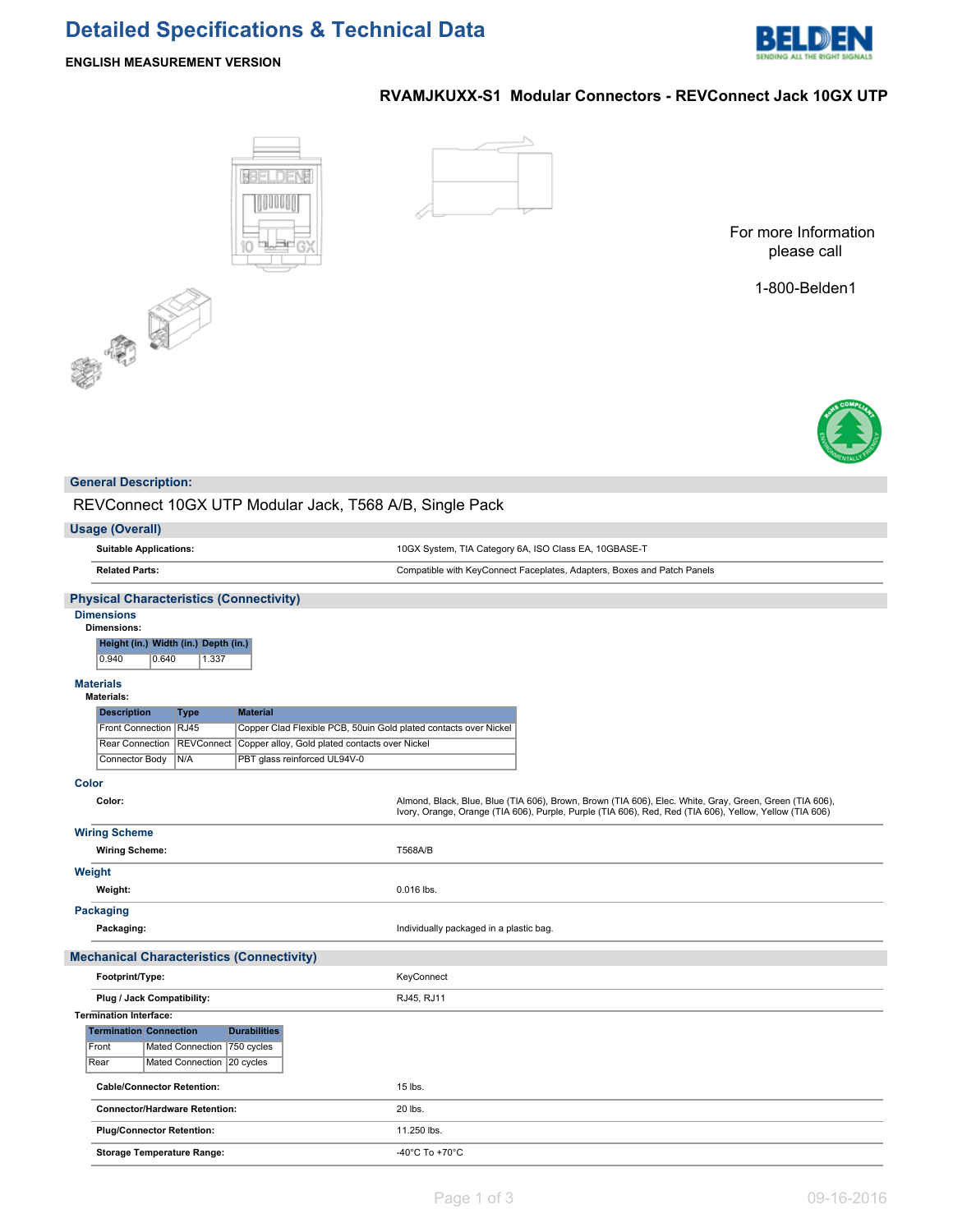# **Detailed Specifications & Technical Data**



## **ENGLISH MEASUREMENT VERSION**

# **RVAMJKUXX-S1 Modular Connectors - REVConnect Jack 10GX UTP**





For more Information please call

1-800-Belden1



## **General Description:**

中国

REVConnect 10GX UTP Modular Jack, T568 A/B, Single Pack

| <b>Usage (Overall)</b>                                                                                       |                                                                                                                                                                                                                    |
|--------------------------------------------------------------------------------------------------------------|--------------------------------------------------------------------------------------------------------------------------------------------------------------------------------------------------------------------|
| <b>Suitable Applications:</b>                                                                                | 10GX System, TIA Category 6A, ISO Class EA, 10GBASE-T                                                                                                                                                              |
| <b>Related Parts:</b>                                                                                        | Compatible with KeyConnect Faceplates, Adapters, Boxes and Patch Panels                                                                                                                                            |
| <b>Physical Characteristics (Connectivity)</b>                                                               |                                                                                                                                                                                                                    |
| <b>Dimensions</b>                                                                                            |                                                                                                                                                                                                                    |
| <b>Dimensions:</b>                                                                                           |                                                                                                                                                                                                                    |
| Height (in.) Width (in.) Depth (in.)                                                                         |                                                                                                                                                                                                                    |
| 0.940<br>0.640<br>1.337                                                                                      |                                                                                                                                                                                                                    |
| <b>Materials</b>                                                                                             |                                                                                                                                                                                                                    |
| <b>Materials:</b>                                                                                            |                                                                                                                                                                                                                    |
| <b>Description</b><br><b>Material</b><br><b>Type</b>                                                         |                                                                                                                                                                                                                    |
| Front Connection RJ45<br>Copper Clad Flexible PCB, 50uin Gold plated contacts over Nickel                    |                                                                                                                                                                                                                    |
| Rear Connection REVConnect<br>Copper alloy, Gold plated contacts over Nickel<br>PBT glass reinforced UL94V-0 |                                                                                                                                                                                                                    |
| N/A<br>Connector Body                                                                                        |                                                                                                                                                                                                                    |
| <b>Color</b>                                                                                                 |                                                                                                                                                                                                                    |
| Color:                                                                                                       | Almond, Black, Blue, Blue (TIA 606), Brown, Brown (TIA 606), Elec. White, Gray, Green, Green (TIA 606),<br>Ivory, Orange, Orange (TIA 606), Purple, Purple (TIA 606), Red, Red (TIA 606), Yellow, Yellow (TIA 606) |
| <b>Wiring Scheme</b>                                                                                         |                                                                                                                                                                                                                    |
| <b>Wiring Scheme:</b>                                                                                        | T568A/B                                                                                                                                                                                                            |
| Weight                                                                                                       |                                                                                                                                                                                                                    |
| Weight:                                                                                                      | 0.016 lbs.                                                                                                                                                                                                         |
| <b>Packaging</b>                                                                                             |                                                                                                                                                                                                                    |
| Packaging:                                                                                                   | Individually packaged in a plastic bag.                                                                                                                                                                            |
| <b>Mechanical Characteristics (Connectivity)</b>                                                             |                                                                                                                                                                                                                    |
| Footprint/Type:                                                                                              | KeyConnect                                                                                                                                                                                                         |
| Plug / Jack Compatibility:                                                                                   | RJ45, RJ11                                                                                                                                                                                                         |
| <b>Termination Interface:</b>                                                                                |                                                                                                                                                                                                                    |
| <b>Termination Connection</b><br><b>Durabilities</b>                                                         |                                                                                                                                                                                                                    |
| Mated Connection   750 cycles<br>Front                                                                       |                                                                                                                                                                                                                    |
| Mated Connection<br>Rear<br>$ 20 \text{ cycles}$                                                             |                                                                                                                                                                                                                    |
| <b>Cable/Connector Retention:</b>                                                                            | 15 lbs.                                                                                                                                                                                                            |
| <b>Connector/Hardware Retention:</b>                                                                         | 20 lbs.                                                                                                                                                                                                            |
| <b>Plug/Connector Retention:</b>                                                                             | 11.250 lbs.                                                                                                                                                                                                        |
| <b>Storage Temperature Range:</b>                                                                            | -40°C To +70°C                                                                                                                                                                                                     |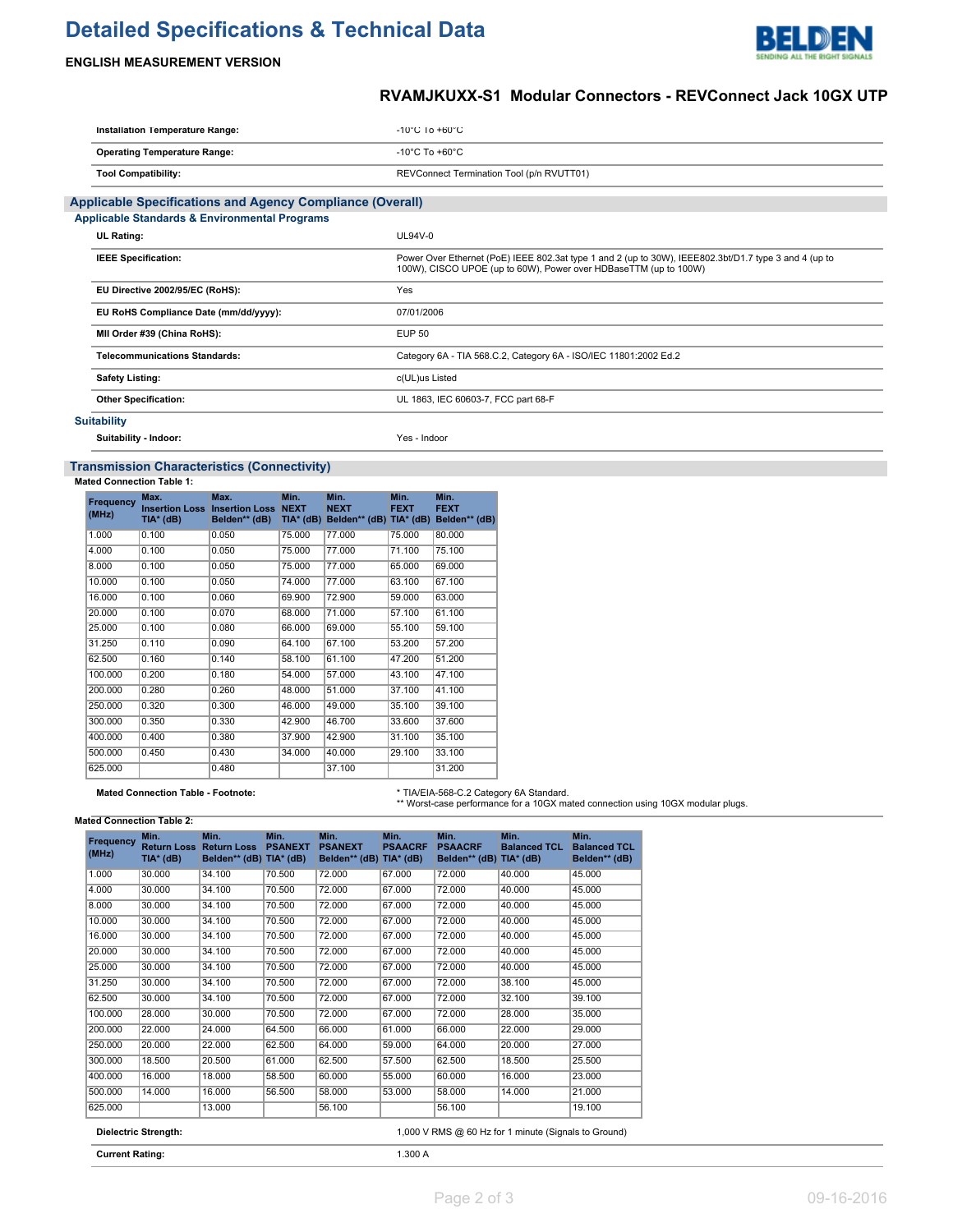# **Detailed Specifications & Technical Data**



## **ENGLISH MEASUREMENT VERSION**

# **RVAMJKUXX-S1 Modular Connectors - REVConnect Jack 10GX UTP**

| Installation Temperature Range:                                  | $-10^{\circ}$ C 10 $+60^{\circ}$ C                                                                                                                                        |
|------------------------------------------------------------------|---------------------------------------------------------------------------------------------------------------------------------------------------------------------------|
| <b>Operating Temperature Range:</b>                              | $-10^{\circ}$ C To $+60^{\circ}$ C                                                                                                                                        |
| <b>Tool Compatibility:</b>                                       | REVConnect Termination Tool (p/n RVUTT01)                                                                                                                                 |
| <b>Applicable Specifications and Agency Compliance (Overall)</b> |                                                                                                                                                                           |
| <b>Applicable Standards &amp; Environmental Programs</b>         |                                                                                                                                                                           |
| <b>UL Rating:</b>                                                | $UL94V-0$                                                                                                                                                                 |
| <b>IEEE Specification:</b>                                       | Power Over Ethernet (PoE) IEEE 802.3at type 1 and 2 (up to 30W), IEEE802.3bt/D1.7 type 3 and 4 (up to<br>100W), CISCO UPOE (up to 60W), Power over HDBaseTTM (up to 100W) |
| EU Directive 2002/95/EC (RoHS):                                  | Yes                                                                                                                                                                       |
| EU RoHS Compliance Date (mm/dd/yyyy):                            | 07/01/2006                                                                                                                                                                |
| MII Order #39 (China RoHS):                                      | <b>EUP 50</b>                                                                                                                                                             |
| <b>Telecommunications Standards:</b>                             | Category 6A - TIA 568.C.2, Category 6A - ISO/IEC 11801:2002 Ed.2                                                                                                          |
| <b>Safety Listing:</b>                                           | c(UL)us Listed                                                                                                                                                            |
| <b>Other Specification:</b>                                      | UL 1863, IEC 60603-7, FCC part 68-F                                                                                                                                       |
| <b>Suitability</b>                                               |                                                                                                                                                                           |

**Suitability - Indoor:** Yes - Indoor

## **Transmission Characteristics (Connectivity)**

**Mated Connection Table 1:**

| Frequency<br>(MHz) | Max.<br><b>Insertion Loss</b><br>TIA* (dB) | Max.<br><b>Insertion Loss NEXT</b><br>Belden** (dB) | Min.<br>$TIA*$ (dB) | Min.<br><b>NEXT</b><br>Belden** (dB) TIA* (dB) | Min.<br><b>FEXT</b> | Min.<br><b>FEXT</b><br>Belden** (dB) |
|--------------------|--------------------------------------------|-----------------------------------------------------|---------------------|------------------------------------------------|---------------------|--------------------------------------|
| 1.000              | 0.100                                      | 0.050                                               | 75,000              | 77.000                                         | 75,000              | 80,000                               |
| 4.000              | 0.100                                      | 0.050                                               | 75,000              | 77.000                                         | 71.100              | 75.100                               |
| 8.000              | 0.100                                      | 0.050                                               | 75.000              | 77.000                                         | 65.000              | 69.000                               |
| 10.000             | 0.100                                      | 0.050                                               | 74.000              | 77.000                                         | 63.100              | 67.100                               |
| 16,000             | 0.100                                      | 0.060                                               | 69.900              | 72.900                                         | 59.000              | 63.000                               |
| 20.000             | 0.100                                      | 0.070                                               | 68,000              | 71.000                                         | 57.100              | 61.100                               |
| 25.000             | 0.100                                      | 0.080                                               | 66.000              | 69.000                                         | 55.100              | 59.100                               |
| 31.250             | 0.110                                      | 0.090                                               | 64.100              | 67.100                                         | 53.200              | 57.200                               |
| 62.500             | 0.160                                      | 0.140                                               | 58.100              | 61.100                                         | 47.200              | 51.200                               |
| 100.000            | 0.200                                      | 0.180                                               | 54.000              | 57.000                                         | 43.100              | 47.100                               |
| 200.000            | 0.280                                      | 0.260                                               | 48.000              | 51.000                                         | 37.100              | 41.100                               |
| 250.000            | 0.320                                      | 0.300                                               | 46.000              | 49.000                                         | 35.100              | 39.100                               |
| 300.000            | 0.350                                      | 0.330                                               | 42.900              | 46.700                                         | 33.600              | 37.600                               |
| 400.000            | 0.400                                      | 0.380                                               | 37.900              | 42.900                                         | 31.100              | 35.100                               |
| 500.000            | 0.450                                      | 0.430                                               | 34.000              | 40.000                                         | 29.100              | 33.100                               |
| 625.000            |                                            | 0.480                                               |                     | 37.100                                         |                     | 31.200                               |

#### **Mated Connection Table - Footnote:**

| * TIA/EIA-568-C.2 Category 6A Standard.                                         |
|---------------------------------------------------------------------------------|
| ** Worst-case performance for a 10GX mated connection using 10GX modular plugs. |

## **Mated Connection Table 2:**

| <b>Frequency</b><br>(MHz)                                                    | Min.<br><b>Return Loss</b><br>TIA* (dB) | Min.<br><b>Return Loss</b><br>Belden** (dB) TIA* (dB) | Min.<br><b>PSANEXT</b> | Min.<br><b>PSANEXT</b><br>Belden** (dB) TIA* (dB) | Min.<br><b>PSAACRF</b> | Min.<br><b>PSAACRF</b><br>Belden** (dB) | Min.<br><b>Balanced TCL</b><br>$TIA*$ (dB) | Min.<br><b>Balanced TCL</b><br>Belden** (dB) |
|------------------------------------------------------------------------------|-----------------------------------------|-------------------------------------------------------|------------------------|---------------------------------------------------|------------------------|-----------------------------------------|--------------------------------------------|----------------------------------------------|
| 1.000                                                                        | 30.000                                  | 34.100                                                | 70.500                 | 72.000                                            | 67.000                 | 72.000                                  | 40.000                                     | 45.000                                       |
| 4.000                                                                        | 30.000                                  | 34.100                                                | 70.500                 | 72.000                                            | 67.000                 | 72.000                                  | 40.000                                     | 45.000                                       |
| 8.000                                                                        | 30.000                                  | 34.100                                                | 70.500                 | 72.000                                            | 67.000                 | 72.000                                  | 40.000                                     | 45.000                                       |
| 10.000                                                                       | 30.000                                  | 34.100                                                | 70.500                 | 72.000                                            | 67.000                 | 72.000                                  | 40.000                                     | 45.000                                       |
| 16.000                                                                       | 30.000                                  | 34.100                                                | 70.500                 | 72.000                                            | 67.000                 | 72.000                                  | 40.000                                     | 45.000                                       |
| 20.000                                                                       | 30.000                                  | 34.100                                                | 70.500                 | 72.000                                            | 67.000                 | 72.000                                  | 40.000                                     | 45.000                                       |
| 25.000                                                                       | 30.000                                  | 34.100                                                | 70.500                 | 72.000                                            | 67.000                 | 72.000                                  | 40.000                                     | 45.000                                       |
| 31.250                                                                       | 30.000                                  | 34.100                                                | 70.500                 | 72.000                                            | 67.000                 | 72.000                                  | 38.100                                     | 45.000                                       |
| 62.500                                                                       | 30.000                                  | 34.100                                                | 70.500                 | 72.000                                            | 67.000                 | 72.000                                  | 32.100                                     | 39.100                                       |
| 100.000                                                                      | 28.000                                  | 30.000                                                | 70.500                 | 72.000                                            | 67.000                 | 72.000                                  | 28,000                                     | 35.000                                       |
| 200.000                                                                      | 22.000                                  | 24.000                                                | 64.500                 | 66,000                                            | 61.000                 | 66.000                                  | 22.000                                     | 29.000                                       |
| 250.000                                                                      | 20.000                                  | 22.000                                                | 62.500                 | 64.000                                            | 59.000                 | 64.000                                  | 20.000                                     | 27.000                                       |
| 300.000                                                                      | 18.500                                  | 20.500                                                | 61.000                 | 62.500                                            | 57.500                 | 62.500                                  | 18.500                                     | 25.500                                       |
| 400.000                                                                      | 16.000                                  | 18,000                                                | 58.500                 | 60.000                                            | 55.000                 | 60.000                                  | 16.000                                     | 23.000                                       |
| 500.000                                                                      | 14.000                                  | 16.000                                                | 56.500                 | 58.000                                            | 53.000                 | 58.000                                  | 14.000                                     | 21.000                                       |
| 625.000                                                                      |                                         | 13,000                                                |                        | 56.100                                            |                        | 56.100                                  |                                            | 19.100                                       |
| 1,000 V RMS @ 60 Hz for 1 minute (Signals to Ground)<br>Dielectric Strength: |                                         |                                                       |                        |                                                   |                        |                                         |                                            |                                              |

**Current Rating:** 1.300 A